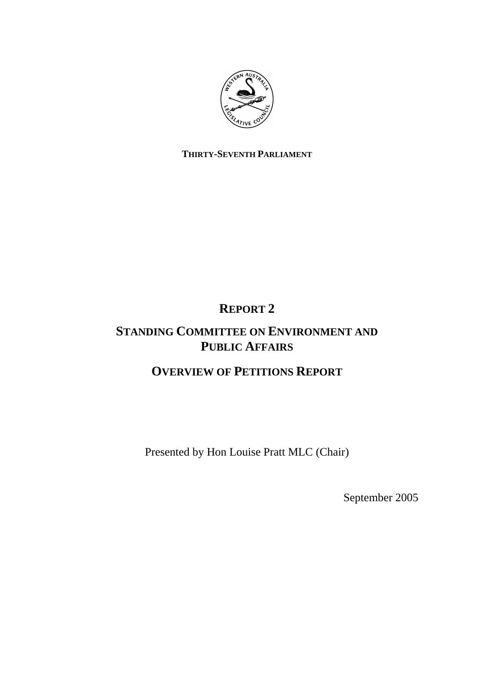

## **THIRTY-SEVENTH PARLIAMENT**

# **REPORT 2**

## **STANDING COMMITTEE ON ENVIRONMENT AND PUBLIC AFFAIRS**

# **OVERVIEW OF PETITIONS REPORT**

Presented by Hon Louise Pratt MLC (Chair)

September 2005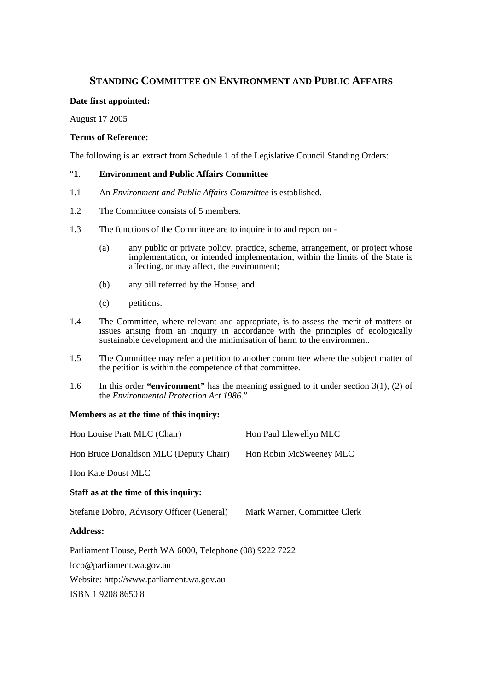## **STANDING COMMITTEE ON ENVIRONMENT AND PUBLIC AFFAIRS**

### **Date first appointed:**

August 17 2005

#### **Terms of Reference:**

The following is an extract from Schedule 1 of the Legislative Council Standing Orders:

### "**1. Environment and Public Affairs Committee**

- 1.1 An *Environment and Public Affairs Committee* is established.
- 1.2 The Committee consists of 5 members.
- 1.3 The functions of the Committee are to inquire into and report on
	- (a) any public or private policy, practice, scheme, arrangement, or project whose implementation, or intended implementation, within the limits of the State is affecting, or may affect, the environment;
	- (b) any bill referred by the House; and
	- (c) petitions.
- 1.4 The Committee, where relevant and appropriate, is to assess the merit of matters or issues arising from an inquiry in accordance with the principles of ecologically sustainable development and the minimisation of harm to the environment.
- 1.5 The Committee may refer a petition to another committee where the subject matter of the petition is within the competence of that committee.
- 1.6 In this order **"environment"** has the meaning assigned to it under section 3(1), (2) of the *Environmental Protection Act 1986*."

#### **Members as at the time of this inquiry:**

| Hon Louise Pratt MLC (Chair)                              | Hon Paul Llewellyn MLC       |  |
|-----------------------------------------------------------|------------------------------|--|
| Hon Bruce Donaldson MLC (Deputy Chair)                    | Hon Robin McSweeney MLC      |  |
| <b>Hon Kate Doust MLC</b>                                 |                              |  |
| Staff as at the time of this inquiry:                     |                              |  |
| Stefanie Dobro, Advisory Officer (General)                | Mark Warner, Committee Clerk |  |
| <b>Address:</b>                                           |                              |  |
| Parliament House, Perth WA 6000, Telephone (08) 9222 7222 |                              |  |
| lcco@parliament.wa.gov.au                                 |                              |  |
| Website: http://www.parliament.wa.gov.au                  |                              |  |
| ISBN 1920886508                                           |                              |  |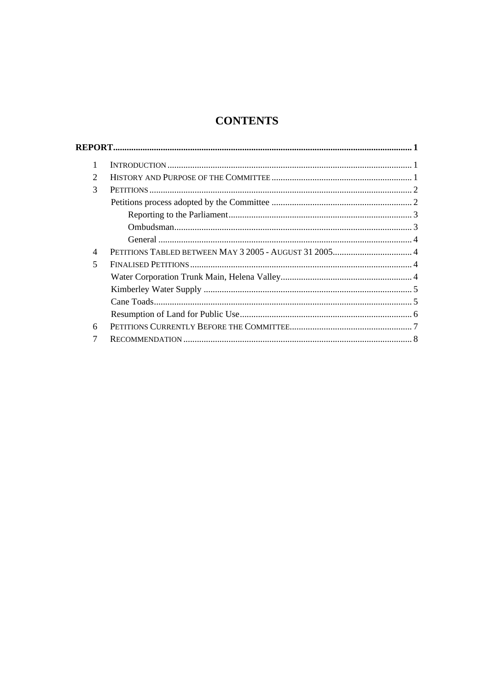## **CONTENTS**

| 1                           |  |  |
|-----------------------------|--|--|
| $\mathcal{D}_{\mathcal{L}}$ |  |  |
| 3                           |  |  |
|                             |  |  |
|                             |  |  |
|                             |  |  |
|                             |  |  |
| 4                           |  |  |
| 5                           |  |  |
|                             |  |  |
|                             |  |  |
|                             |  |  |
|                             |  |  |
| 6                           |  |  |
|                             |  |  |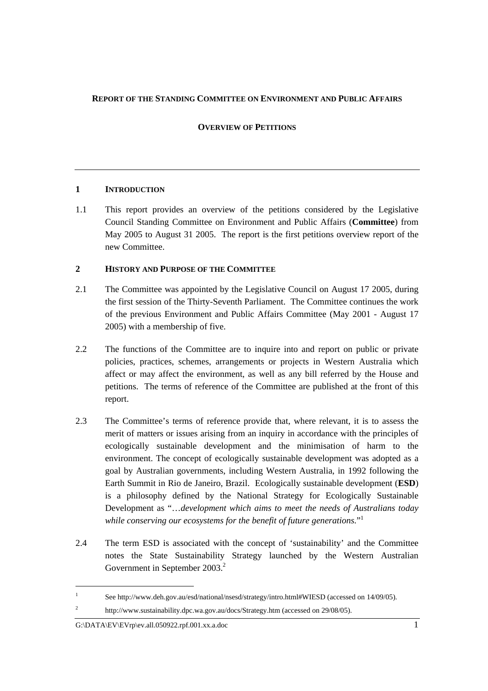#### **REPORT OF THE STANDING COMMITTEE ON ENVIRONMENT AND PUBLIC AFFAIRS**

### **OVERVIEW OF PETITIONS**

### **1 INTRODUCTION**

1.1 This report provides an overview of the petitions considered by the Legislative Council Standing Committee on Environment and Public Affairs (**Committee**) from May 2005 to August 31 2005. The report is the first petitions overview report of the new Committee.

## **2 HISTORY AND PURPOSE OF THE COMMITTEE**

- 2.1 The Committee was appointed by the Legislative Council on August 17 2005, during the first session of the Thirty-Seventh Parliament. The Committee continues the work of the previous Environment and Public Affairs Committee (May 2001 - August 17 2005) with a membership of five.
- 2.2 The functions of the Committee are to inquire into and report on public or private policies, practices, schemes, arrangements or projects in Western Australia which affect or may affect the environment, as well as any bill referred by the House and petitions. The terms of reference of the Committee are published at the front of this report.
- 2.3 The Committee's terms of reference provide that, where relevant, it is to assess the merit of matters or issues arising from an inquiry in accordance with the principles of ecologically sustainable development and the minimisation of harm to the environment. The concept of ecologically sustainable development was adopted as a goal by Australian governments, including Western Australia, in 1992 following the Earth Summit in Rio de Janeiro, Brazil. Ecologically sustainable development (**ESD**) is a philosophy defined by the National Strategy for Ecologically Sustainable Development as "…*development which aims to meet the needs of Australians today while conserving our ecosystems for the benefit of future generations.*" 1
- 2.4 The term ESD is associated with the concept of 'sustainability' and the Committee notes the State Sustainability Strategy launched by the Western Australian Government in September 2003.<sup>2</sup>

<sup>1</sup> See http://www.deh.gov.au/esd/national/nsesd/strategy/intro.html#WIESD (accessed on 14/09/05).

<sup>2</sup> http://www.sustainability.dpc.wa.gov.au/docs/Strategy.htm (accessed on 29/08/05).

G:\DATA\EV\EVrp\ev.all.050922.rpf.001.xx.a.doc 1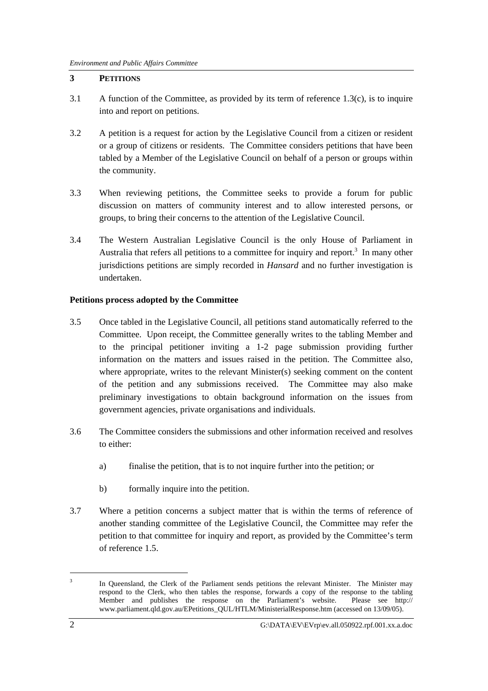## **3 PETITIONS**

- 3.1 A function of the Committee, as provided by its term of reference 1.3(c), is to inquire into and report on petitions.
- 3.2 A petition is a request for action by the Legislative Council from a citizen or resident or a group of citizens or residents. The Committee considers petitions that have been tabled by a Member of the Legislative Council on behalf of a person or groups within the community.
- 3.3 When reviewing petitions, the Committee seeks to provide a forum for public discussion on matters of community interest and to allow interested persons, or groups, to bring their concerns to the attention of the Legislative Council.
- 3.4 The Western Australian Legislative Council is the only House of Parliament in Australia that refers all petitions to a committee for inquiry and report.<sup>3</sup> In many other jurisdictions petitions are simply recorded in *Hansard* and no further investigation is undertaken.

## **Petitions process adopted by the Committee**

- 3.5 Once tabled in the Legislative Council, all petitions stand automatically referred to the Committee. Upon receipt, the Committee generally writes to the tabling Member and to the principal petitioner inviting a 1-2 page submission providing further information on the matters and issues raised in the petition. The Committee also, where appropriate, writes to the relevant Minister(s) seeking comment on the content of the petition and any submissions received. The Committee may also make preliminary investigations to obtain background information on the issues from government agencies, private organisations and individuals.
- 3.6 The Committee considers the submissions and other information received and resolves to either:
	- a) finalise the petition, that is to not inquire further into the petition; or
	- b) formally inquire into the petition.
- 3.7 Where a petition concerns a subject matter that is within the terms of reference of another standing committee of the Legislative Council, the Committee may refer the petition to that committee for inquiry and report, as provided by the Committee's term of reference 1.5.

 $\overline{a}$ 

<sup>3</sup> In Queensland, the Clerk of the Parliament sends petitions the relevant Minister. The Minister may respond to the Clerk, who then tables the response, forwards a copy of the response to the tabling Member and publishes the response on the Parliament's website. Please see http:// www.parliament.qld.gov.au/EPetitions\_QUL/HTLM/MinisterialResponse.htm (accessed on 13/09/05).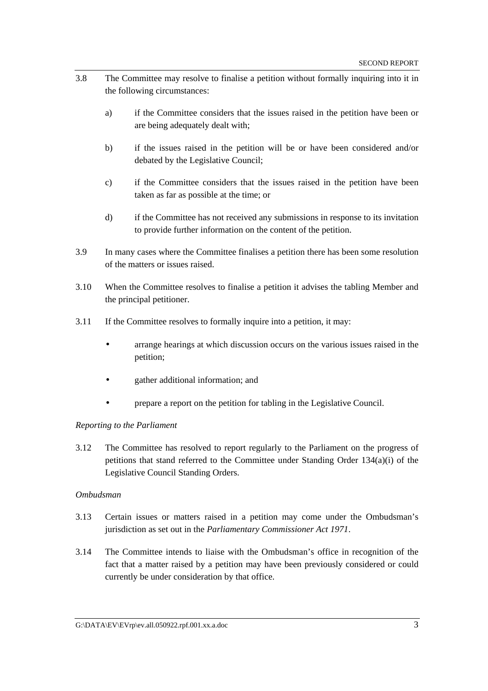- 3.8 The Committee may resolve to finalise a petition without formally inquiring into it in the following circumstances:
	- a) if the Committee considers that the issues raised in the petition have been or are being adequately dealt with;
	- b) if the issues raised in the petition will be or have been considered and/or debated by the Legislative Council;
	- c) if the Committee considers that the issues raised in the petition have been taken as far as possible at the time; or
	- d) if the Committee has not received any submissions in response to its invitation to provide further information on the content of the petition.
- 3.9 In many cases where the Committee finalises a petition there has been some resolution of the matters or issues raised.
- 3.10 When the Committee resolves to finalise a petition it advises the tabling Member and the principal petitioner.
- 3.11 If the Committee resolves to formally inquire into a petition, it may:
	- arrange hearings at which discussion occurs on the various issues raised in the petition;
	- gather additional information; and
	- prepare a report on the petition for tabling in the Legislative Council.

#### *Reporting to the Parliament*

3.12 The Committee has resolved to report regularly to the Parliament on the progress of petitions that stand referred to the Committee under Standing Order 134(a)(i) of the Legislative Council Standing Orders.

#### *Ombudsman*

- 3.13 Certain issues or matters raised in a petition may come under the Ombudsman's jurisdiction as set out in the *Parliamentary Commissioner Act 1971*.
- 3.14 The Committee intends to liaise with the Ombudsman's office in recognition of the fact that a matter raised by a petition may have been previously considered or could currently be under consideration by that office.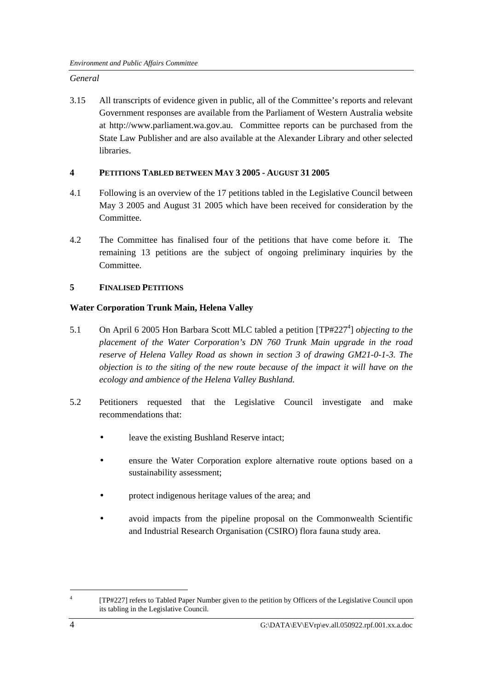## *General*

3.15 All transcripts of evidence given in public, all of the Committee's reports and relevant Government responses are available from the Parliament of Western Australia website at http://www.parliament.wa.gov.au. Committee reports can be purchased from the State Law Publisher and are also available at the Alexander Library and other selected libraries.

## **4 PETITIONS TABLED BETWEEN MAY 3 2005 - AUGUST 31 2005**

- 4.1 Following is an overview of the 17 petitions tabled in the Legislative Council between May 3 2005 and August 31 2005 which have been received for consideration by the Committee.
- 4.2 The Committee has finalised four of the petitions that have come before it. The remaining 13 petitions are the subject of ongoing preliminary inquiries by the Committee.

## **5 FINALISED PETITIONS**

## **Water Corporation Trunk Main, Helena Valley**

- 5.1 On April 6 2005 Hon Barbara Scott MLC tabled a petition [TP#227<sup>4</sup>] *objecting to the placement of the Water Corporation's DN 760 Trunk Main upgrade in the road reserve of Helena Valley Road as shown in section 3 of drawing GM21-0-1-3. The objection is to the siting of the new route because of the impact it will have on the ecology and ambience of the Helena Valley Bushland.*
- 5.2 Petitioners requested that the Legislative Council investigate and make recommendations that:
	- leave the existing Bushland Reserve intact;
	- ensure the Water Corporation explore alternative route options based on a sustainability assessment;
	- protect indigenous heritage values of the area; and
	- avoid impacts from the pipeline proposal on the Commonwealth Scientific and Industrial Research Organisation (CSIRO) flora fauna study area.

<sup>4</sup> [TP#227] refers to Tabled Paper Number given to the petition by Officers of the Legislative Council upon its tabling in the Legislative Council.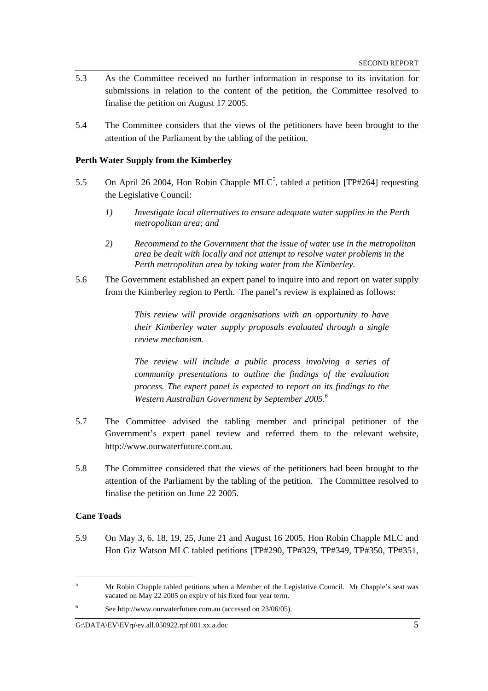- 5.3 As the Committee received no further information in response to its invitation for submissions in relation to the content of the petition, the Committee resolved to finalise the petition on August 17 2005.
- 5.4 The Committee considers that the views of the petitioners have been brought to the attention of the Parliament by the tabling of the petition.

#### **Perth Water Supply from the Kimberley**

- 5.5 On April 26 2004, Hon Robin Chapple MLC<sup>5</sup>, tabled a petition [TP#264] requesting the Legislative Council:
	- *1) Investigate local alternatives to ensure adequate water supplies in the Perth metropolitan area; and*
	- *2) Recommend to the Government that the issue of water use in the metropolitan area be dealt with locally and not attempt to resolve water problems in the Perth metropolitan area by taking water from the Kimberley.*
- 5.6 The Government established an expert panel to inquire into and report on water supply from the Kimberley region to Perth. The panel's review is explained as follows:

*This review will provide organisations with an opportunity to have their Kimberley water supply proposals evaluated through a single review mechanism.* 

*The review will include a public process involving a series of community presentations to outline the findings of the evaluation process. The expert panel is expected to report on its findings to the Western Australian Government by September 2005.<sup>6</sup>*

- 5.7 The Committee advised the tabling member and principal petitioner of the Government's expert panel review and referred them to the relevant website, http://www.ourwaterfuture.com.au.
- 5.8 The Committee considered that the views of the petitioners had been brought to the attention of the Parliament by the tabling of the petition. The Committee resolved to finalise the petition on June 22 2005.

#### **Cane Toads**

 $\overline{a}$ 

5.9 On May 3, 6, 18, 19, 25, June 21 and August 16 2005, Hon Robin Chapple MLC and Hon Giz Watson MLC tabled petitions [TP#290, TP#329, TP#349, TP#350, TP#351,

<sup>5</sup> Mr Robin Chapple tabled petitions when a Member of the Legislative Council. Mr Chapple's seat was vacated on May 22 2005 on expiry of his fixed four year term.

<sup>6</sup> See http://www.ourwaterfuture.com.au (accessed on 23/06/05).

G: $\Delta$ DATA\EV\EVrp\ev.all.050922.rpf.001.xx.a.doc 5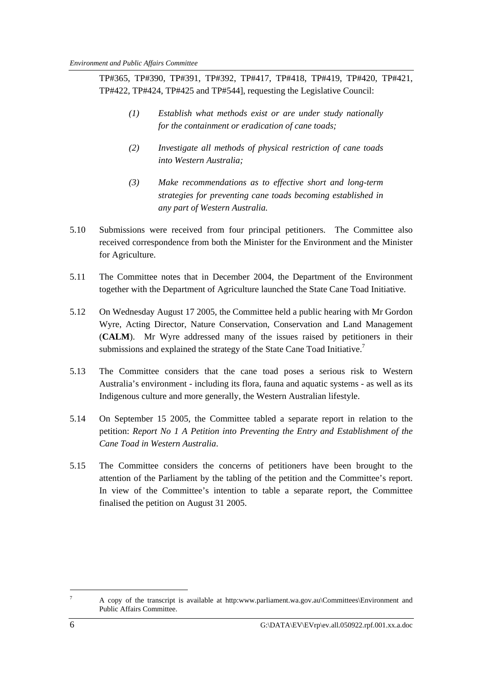TP#365, TP#390, TP#391, TP#392, TP#417, TP#418, TP#419, TP#420, TP#421, TP#422, TP#424, TP#425 and TP#544], requesting the Legislative Council:

- *(1) Establish what methods exist or are under study nationally for the containment or eradication of cane toads;*
- *(2) Investigate all methods of physical restriction of cane toads into Western Australia;*
- *(3) Make recommendations as to effective short and long-term strategies for preventing cane toads becoming established in any part of Western Australia.*
- 5.10 Submissions were received from four principal petitioners. The Committee also received correspondence from both the Minister for the Environment and the Minister for Agriculture.
- 5.11 The Committee notes that in December 2004, the Department of the Environment together with the Department of Agriculture launched the State Cane Toad Initiative.
- 5.12 On Wednesday August 17 2005, the Committee held a public hearing with Mr Gordon Wyre, Acting Director, Nature Conservation, Conservation and Land Management (**CALM**). Mr Wyre addressed many of the issues raised by petitioners in their submissions and explained the strategy of the State Cane Toad Initiative.<sup>7</sup>
- 5.13 The Committee considers that the cane toad poses a serious risk to Western Australia's environment - including its flora, fauna and aquatic systems - as well as its Indigenous culture and more generally, the Western Australian lifestyle.
- 5.14 On September 15 2005, the Committee tabled a separate report in relation to the petition: *Report No 1 A Petition into Preventing the Entry and Establishment of the Cane Toad in Western Australia*.
- 5.15 The Committee considers the concerns of petitioners have been brought to the attention of the Parliament by the tabling of the petition and the Committee's report. In view of the Committee's intention to table a separate report, the Committee finalised the petition on August 31 2005.

<sup>7</sup> A copy of the transcript is available at http:www.parliament.wa.gov.au\Committees\Environment and Public Affairs Committee.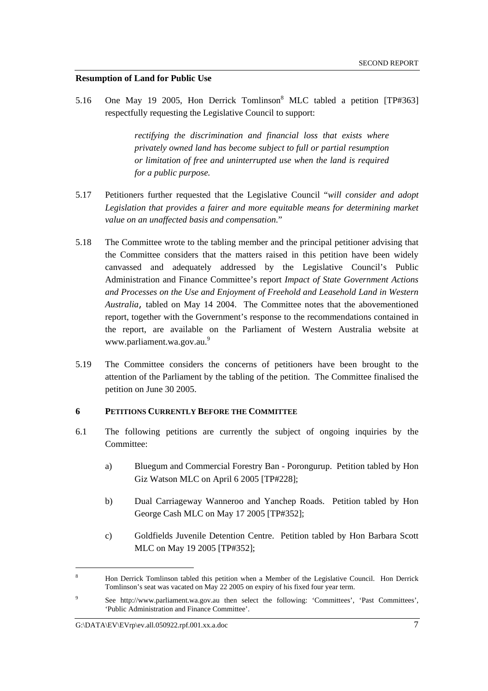#### **Resumption of Land for Public Use**

5.16 One May 19 2005, Hon Derrick Tomlinson<sup>8</sup> MLC tabled a petition [TP#363] respectfully requesting the Legislative Council to support:

> *rectifying the discrimination and financial loss that exists where privately owned land has become subject to full or partial resumption or limitation of free and uninterrupted use when the land is required for a public purpose.*

- 5.17 Petitioners further requested that the Legislative Council "*will consider and adopt*  Legislation that provides a fairer and more equitable means for determining market *value on an unaffected basis and compensation.*"
- 5.18 The Committee wrote to the tabling member and the principal petitioner advising that the Committee considers that the matters raised in this petition have been widely canvassed and adequately addressed by the Legislative Council's Public Administration and Finance Committee's report *Impact of State Government Actions and Processes on the Use and Enjoyment of Freehold and Leasehold Land in Western Australia*, tabled on May 14 2004. The Committee notes that the abovementioned report, together with the Government's response to the recommendations contained in the report, are available on the Parliament of Western Australia website at www.parliament.wa.gov.au.<sup>9</sup>
- 5.19 The Committee considers the concerns of petitioners have been brought to the attention of the Parliament by the tabling of the petition. The Committee finalised the petition on June 30 2005.

#### **6 PETITIONS CURRENTLY BEFORE THE COMMITTEE**

- 6.1 The following petitions are currently the subject of ongoing inquiries by the Committee:
	- a) Bluegum and Commercial Forestry Ban Porongurup. Petition tabled by Hon Giz Watson MLC on April 6 2005 [TP#228];
	- b) Dual Carriageway Wanneroo and Yanchep Roads. Petition tabled by Hon George Cash MLC on May 17 2005 [TP#352];
	- c) Goldfields Juvenile Detention Centre. Petition tabled by Hon Barbara Scott MLC on May 19 2005 [TP#352];

 $\overline{a}$ 

<sup>8</sup> Hon Derrick Tomlinson tabled this petition when a Member of the Legislative Council. Hon Derrick Tomlinson's seat was vacated on May 22 2005 on expiry of his fixed four year term.

<sup>9</sup> See http://www.parliament.wa.gov.au then select the following: 'Committees', 'Past Committees', 'Public Administration and Finance Committee'.